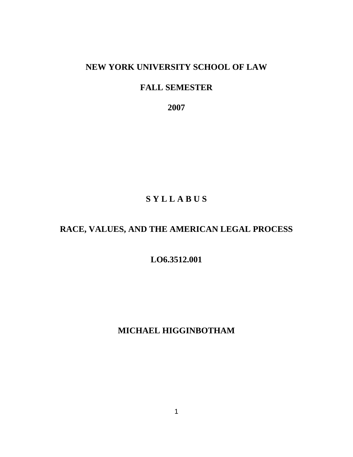# **NEW YORK UNIVERSITY SCHOOL OF LAW**

# **FALL SEMESTER**

 **2007** 

# **S Y L L A B U S**

# **RACE, VALUES, AND THE AMERICAN LEGAL PROCESS**

# **LO6.3512.001**

# **MICHAEL HIGGINBOTHAM**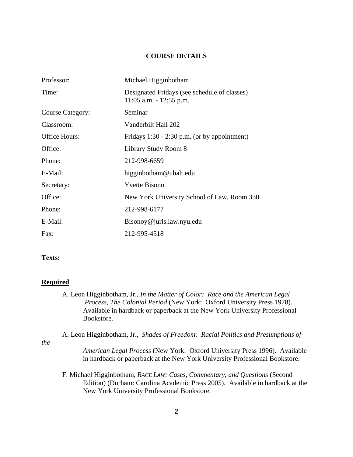#### **COURSE DETAILS**

| Professor:              | Michael Higginbotham                                                       |
|-------------------------|----------------------------------------------------------------------------|
| Time:                   | Designated Fridays (see schedule of classes)<br>$11:05$ a.m. $-12:55$ p.m. |
| <b>Course Category:</b> | Seminar                                                                    |
| Classroom:              | Vanderbilt Hall 202                                                        |
| Office Hours:           | Fridays $1:30 - 2:30$ p.m. (or by appointment)                             |
| Office:                 | Library Study Room 8                                                       |
| Phone:                  | 212-998-6659                                                               |
| E-Mail:                 | higginbotham@ubalt.edu                                                     |
| Secretary:              | <b>Yvette Bisono</b>                                                       |
| Office:                 | New York University School of Law, Room 330                                |
| Phone:                  | 212-998-6177                                                               |
| E-Mail:                 | Bisonoy@juris.law.nyu.edu                                                  |
| Fax:                    | 212-995-4518                                                               |

# **Texts:**

#### **Required**

A. Leon Higginbotham, Jr., *In the Matter of Color: Race and the American Legal Process, The Colonial Period* (New York: Oxford University Press 1978). Available in hardback or paperback at the New York University Professional Bookstore.

A. Leon Higginbotham, Jr., *Shades of Freedom: Racial Politics and Presumptions of* 

*the* 

- *American Legal Process* (New York: Oxford University Press 1996). Available in hardback or paperback at the New York University Professional Bookstore.
- F. Michael Higginbotham, *RACE LAW: Cases, Commentary, and Questions* (Second Edition) (Durham: Carolina Academic Press 2005). Available in hardback at the New York University Professional Bookstore.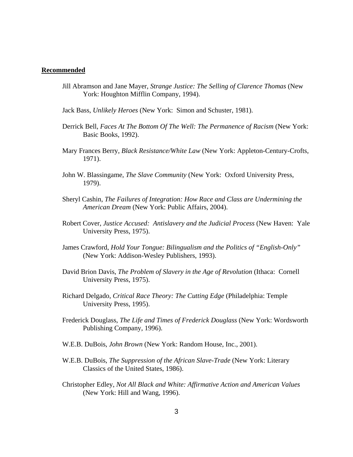#### **Recommended**

- Jill Abramson and Jane Mayer, *Strange Justice: The Selling of Clarence Thomas* (New York: Houghton Mifflin Company, 1994).
- Jack Bass, *Unlikely Heroes* (New York: Simon and Schuster, 1981).
- Derrick Bell, *Faces At The Bottom Of The Well: The Permanence of Racism* (New York: Basic Books, 1992).
- Mary Frances Berry, *Black Resistance/White Law* (New York: Appleton-Century-Crofts, 1971).
- John W. Blassingame, *The Slave Community* (New York: Oxford University Press, 1979).
- Sheryl Cashin, *The Failures of Integration: How Race and Class are Undermining the American Dream* (New York: Public Affairs, 2004).
- Robert Cover, *Justice Accused: Antislavery and the Judicial Process* (New Haven: Yale University Press, 1975).
- James Crawford, *Hold Your Tongue: Bilingualism and the Politics of "English-Only"* (New York: Addison-Wesley Publishers, 1993).
- David Brion Davis, *The Problem of Slavery in the Age of Revolution* (Ithaca: Cornell University Press, 1975).
- Richard Delgado, *Critical Race Theory: The Cutting Edge* (Philadelphia: Temple University Press, 1995).
- Frederick Douglass, *The Life and Times of Frederick Douglass* (New York: Wordsworth Publishing Company, 1996).
- W.E.B. DuBois, *John Brown* (New York: Random House, Inc., 2001).
- W.E.B. DuBois, *The Suppression of the African Slave-Trade* (New York: Literary Classics of the United States, 1986).
- Christopher Edley, *Not All Black and White: Affirmative Action and American Values* (New York: Hill and Wang, 1996).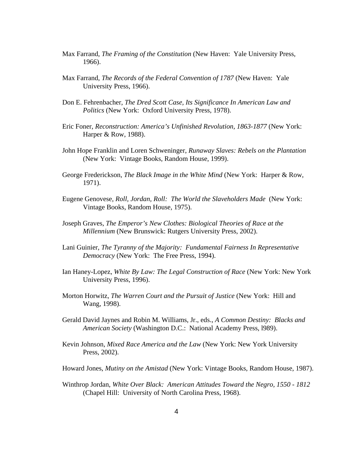- Max Farrand, *The Framing of the Constitution* (New Haven: Yale University Press, 1966).
- Max Farrand, *The Records of the Federal Convention of 1787* (New Haven: Yale University Press, 1966).
- Don E. Fehrenbacher, *The Dred Scott Case, Its Significance In American Law and Politics* (New York: Oxford University Press, 1978).
- Eric Foner, *Reconstruction: America's Unfinished Revolution, 1863-1877* (New York: Harper & Row, 1988).
- John Hope Franklin and Loren Schweninger, *Runaway Slaves: Rebels on the Plantation* (New York: Vintage Books, Random House, 1999).
- George Frederickson, *The Black Image in the White Mind* (New York: Harper & Row, 1971).
- Eugene Genovese, *Roll, Jordan, Roll: The World the Slaveholders Made* (New York: Vintage Books, Random House, 1975).
- Joseph Graves, *The Emperor's New Clothes: Biological Theories of Race at the Millennium* (New Brunswick: Rutgers University Press, 2002).
- Lani Guinier, *The Tyranny of the Majority: Fundamental Fairness In Representative Democracy* (New York: The Free Press, 1994).
- Ian Haney-Lopez, *White By Law: The Legal Construction of Race* (New York: New York University Press, 1996).
- Morton Horwitz, *The Warren Court and the Pursuit of Justice* (New York: Hill and Wang, 1998).
- Gerald David Jaynes and Robin M. Williams, Jr., eds., *A Common Destiny: Blacks and American Society* (Washington D.C.: National Academy Press, l989).
- Kevin Johnson, *Mixed Race America and the Law* (New York: New York University Press, 2002).
- Howard Jones, *Mutiny on the Amistad* (New York: Vintage Books, Random House, 1987).
- Winthrop Jordan, *White Over Black: American Attitudes Toward the Negro, 1550 1812* (Chapel Hill: University of North Carolina Press, 1968).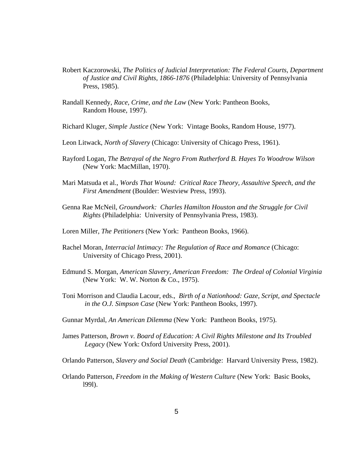- Robert Kaczorowski, *The Politics of Judicial Interpretation: The Federal Courts, Department of Justice and Civil Rights, 1866-1876* (Philadelphia: University of Pennsylvania Press, 1985).
- Randall Kennedy, *Race, Crime, and the Law* (New York: Pantheon Books, Random House, 1997).
- Richard Kluger, *Simple Justice* (New York: Vintage Books, Random House, 1977).
- Leon Litwack, *North of Slavery* (Chicago: University of Chicago Press, 1961).
- Rayford Logan, *The Betrayal of the Negro From Rutherford B. Hayes To Woodrow Wilson* (New York: MacMillan, 1970).
- Mari Matsuda et al., *Words That Wound: Critical Race Theory, Assaultive Speech, and the First Amendment* (Boulder: Westview Press, 1993).
- Genna Rae McNeil, *Groundwork: Charles Hamilton Houston and the Struggle for Civil Rights* (Philadelphia: University of Pennsylvania Press, 1983).
- Loren Miller, *The Petitioners* (New York: Pantheon Books, 1966).
- Rachel Moran, *Interracial Intimacy: The Regulation of Race and Romance* (Chicago: University of Chicago Press, 2001).
- Edmund S. Morgan, *American Slavery, American Freedom: The Ordeal of Colonial Virginia* (New York: W. W. Norton & Co., 1975).
- Toni Morrison and Claudia Lacour, eds., *Birth of a Nationhood: Gaze, Script, and Spectacle in the O.J. Simpson Case* (New York: Pantheon Books, 1997).
- Gunnar Myrdal, *An American Dilemma* (New York: Pantheon Books, 1975).
- James Patterson, *Brown v. Board of Education: A Civil Rights Milestone and Its Troubled Legacy* (New York: Oxford University Press, 2001).
- Orlando Patterson, *Slavery and Social Death* (Cambridge: Harvard University Press, 1982).
- Orlando Patterson, *Freedom in the Making of Western Culture* (New York: Basic Books, l99l).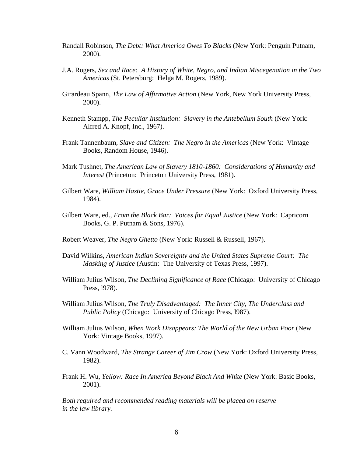- Randall Robinson, *The Debt: What America Owes To Blacks* (New York: Penguin Putnam, 2000).
- J.A. Rogers, *Sex and Race: A History of White, Negro, and Indian Miscegenation in the Two Americas* (St. Petersburg: Helga M. Rogers, 1989).
- Girardeau Spann, *The Law of Affirmative Action* (New York, New York University Press, 2000).
- Kenneth Stampp, *The Peculiar Institution: Slavery in the Antebellum South* (New York: Alfred A. Knopf, Inc., 1967).
- Frank Tannenbaum, *Slave and Citizen: The Negro in the Americas* (New York: Vintage Books, Random House, 1946).
- Mark Tushnet, *The American Law of Slavery 1810-1860: Considerations of Humanity and Interest* (Princeton: Princeton University Press, 1981).
- Gilbert Ware, *William Hastie, Grace Under Pressure* (New York: Oxford University Press, 1984).
- Gilbert Ware, ed., *From the Black Bar: Voices for Equal Justice* (New York: Capricorn Books, G. P. Putnam & Sons, 1976).
- Robert Weaver, *The Negro Ghetto* (New York: Russell & Russell, 1967).
- David Wilkins, *American Indian Sovereignty and the United States Supreme Court: The Masking of Justice* (Austin: The University of Texas Press, 1997).
- William Julius Wilson, *The Declining Significance of Race* (Chicago: University of Chicago Press, l978).
- William Julius Wilson, *The Truly Disadvantaged: The Inner City, The Underclass and Public Policy* (Chicago: University of Chicago Press, l987).
- William Julius Wilson, *When Work Disappears: The World of the New Urban Poor* (New York: Vintage Books, 1997).
- C. Vann Woodward, *The Strange Career of Jim Crow* (New York: Oxford University Press, 1982).
- Frank H. Wu, *Yellow: Race In America Beyond Black And White* (New York: Basic Books, 2001).

*Both required and recommended reading materials will be placed on reserve in the law library.*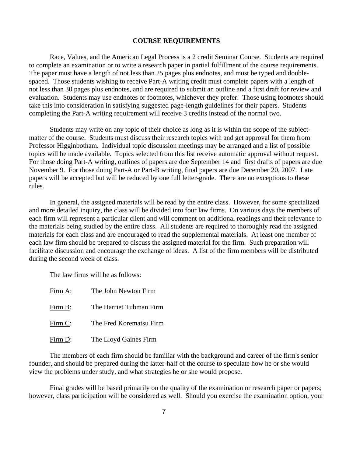#### **COURSE REQUIREMENTS**

Race, Values, and the American Legal Process is a 2 credit Seminar Course. Students are required to complete an examination or to write a research paper in partial fulfillment of the course requirements. The paper must have a length of not less than 25 pages plus endnotes, and must be typed and doublespaced. Those students wishing to receive Part-A writing credit must complete papers with a length of not less than 30 pages plus endnotes, and are required to submit an outline and a first draft for review and evaluation. Students may use endnotes or footnotes, whichever they prefer. Those using footnotes should take this into consideration in satisfying suggested page-length guidelines for their papers. Students completing the Part-A writing requirement will receive 3 credits instead of the normal two.

Students may write on any topic of their choice as long as it is within the scope of the subjectmatter of the course. Students must discuss their research topics with and get approval for them from Professor Higginbotham. Individual topic discussion meetings may be arranged and a list of possible topics will be made available. Topics selected from this list receive automatic approval without request. For those doing Part-A writing, outlines of papers are due September 14 and first drafts of papers are due November 9. For those doing Part-A or Part-B writing, final papers are due December 20, 2007. Late papers will be accepted but will be reduced by one full letter-grade. There are no exceptions to these rules.

In general, the assigned materials will be read by the entire class. However, for some specialized and more detailed inquiry, the class will be divided into four law firms. On various days the members of each firm will represent a particular client and will comment on additional readings and their relevance to the materials being studied by the entire class. All students are required to thoroughly read the assigned materials for each class and are encouraged to read the supplemental materials. At least one member of each law firm should be prepared to discuss the assigned material for the firm. Such preparation will facilitate discussion and encourage the exchange of ideas. A list of the firm members will be distributed during the second week of class.

The law firms will be as follows:

| Firm A: | The John Newton Firm    |
|---------|-------------------------|
| Firm B: | The Harriet Tubman Firm |
| Firm C: | The Fred Korematsu Firm |
| Firm D: | The Lloyd Gaines Firm   |

The members of each firm should be familiar with the background and career of the firm's senior founder, and should be prepared during the latter-half of the course to speculate how he or she would view the problems under study, and what strategies he or she would propose.

Final grades will be based primarily on the quality of the examination or research paper or papers; however, class participation will be considered as well. Should you exercise the examination option, your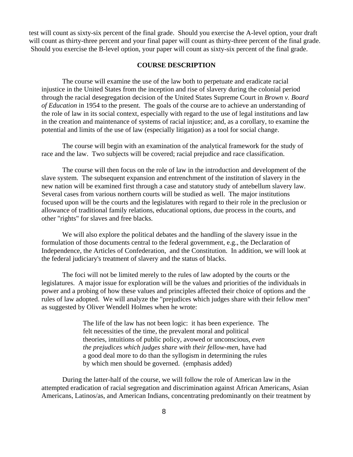test will count as sixty-six percent of the final grade. Should you exercise the A-level option, your draft will count as thirty-three percent and your final paper will count as thirty-three percent of the final grade. Should you exercise the B-level option, your paper will count as sixty-six percent of the final grade.

#### **COURSE DESCRIPTION**

The course will examine the use of the law both to perpetuate and eradicate racial injustice in the United States from the inception and rise of slavery during the colonial period through the racial desegregation decision of the United States Supreme Court in *Brown v. Board of Education* in 1954 to the present. The goals of the course are to achieve an understanding of the role of law in its social context, especially with regard to the use of legal institutions and law in the creation and maintenance of systems of racial injustice; and, as a corollary, to examine the potential and limits of the use of law (especially litigation) as a tool for social change.

The course will begin with an examination of the analytical framework for the study of race and the law. Two subjects will be covered; racial prejudice and race classification.

The course will then focus on the role of law in the introduction and development of the slave system. The subsequent expansion and entrenchment of the institution of slavery in the new nation will be examined first through a case and statutory study of antebellum slavery law. Several cases from various northern courts will be studied as well. The major institutions focused upon will be the courts and the legislatures with regard to their role in the preclusion or allowance of traditional family relations, educational options, due process in the courts, and other "rights" for slaves and free blacks.

We will also explore the political debates and the handling of the slavery issue in the formulation of those documents central to the federal government, e.g., the Declaration of Independence, the Articles of Confederation, and the Constitution. In addition, we will look at the federal judiciary's treatment of slavery and the status of blacks.

The foci will not be limited merely to the rules of law adopted by the courts or the legislatures. A major issue for exploration will be the values and priorities of the individuals in power and a probing of how these values and principles affected their choice of options and the rules of law adopted. We will analyze the "prejudices which judges share with their fellow men" as suggested by Oliver Wendell Holmes when he wrote:

> The life of the law has not been logic: it has been experience. The felt necessities of the time, the prevalent moral and political theories, intuitions of public policy, avowed or unconscious, *even the prejudices which judges share with their fellow-men*, have had a good deal more to do than the syllogism in determining the rules by which men should be governed. (emphasis added)

During the latter-half of the course, we will follow the role of American law in the attempted eradication of racial segregation and discrimination against African Americans, Asian Americans, Latinos/as, and American Indians, concentrating predominantly on their treatment by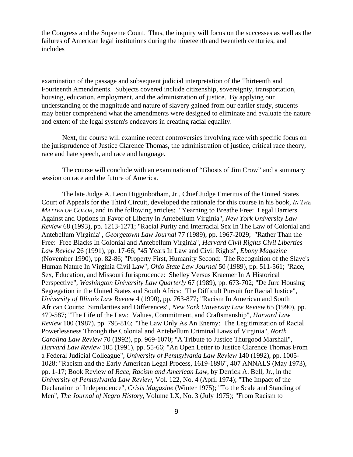the Congress and the Supreme Court. Thus, the inquiry will focus on the successes as well as the failures of American legal institutions during the nineteenth and twentieth centuries, and includes

examination of the passage and subsequent judicial interpretation of the Thirteenth and Fourteenth Amendments. Subjects covered include citizenship, sovereignty, transportation, housing, education, employment, and the administration of justice. By applying our understanding of the magnitude and nature of slavery gained from our earlier study, students may better comprehend what the amendments were designed to eliminate and evaluate the nature and extent of the legal system's endeavors in creating racial equality.

Next, the course will examine recent controversies involving race with specific focus on the jurisprudence of Justice Clarence Thomas, the administration of justice, critical race theory, race and hate speech, and race and language.

The course will conclude with an examination of "Ghosts of Jim Crow" and a summary session on race and the future of America.

The late Judge A. Leon Higginbotham, Jr., Chief Judge Emeritus of the United States Court of Appeals for the Third Circuit, developed the rationale for this course in his book, *IN THE MATTER OF COLOR*, and in the following articles: "Yearning to Breathe Free: Legal Barriers Against and Options in Favor of Liberty in Antebellum Virginia", *New York University Law Review* 68 (1993), pp. 1213-1271; "Racial Purity and Interracial Sex In The Law of Colonial and Antebellum Virginia", *Georgetown Law Journal* 77 (1989), pp. 1967-2029; "Rather Than the Free: Free Blacks In Colonial and Antebellum Virginia", *Harvard Civil Rights Civil Liberties Law Review* 26 (1991), pp. 17-66; "45 Years In Law and Civil Rights", *Ebony Magazine* (November 1990), pp. 82-86; "Property First, Humanity Second: The Recognition of the Slave's Human Nature In Virginia Civil Law", *Ohio State Law Journal* 50 (1989), pp. 511-561; "Race, Sex, Education, and Missouri Jurisprudence: Shelley Versus Kraemer In A Historical Perspective", *Washington University Law Quarterly* 67 (1989), pp. 673-702; "De Jure Housing Segregation in the United States and South Africa: The Difficult Pursuit for Racial Justice", *University of Illinois Law Review* 4 (1990), pp. 763-877; "Racism In American and South African Courts: Similarities and Differences", *New York University Law Review* 65 (1990), pp. 479-587; "The Life of the Law: Values, Commitment, and Craftsmanship", *Harvard Law Review* 100 (1987), pp. 795-816; "The Law Only As An Enemy: The Legitimization of Racial Powerlessness Through the Colonial and Antebellum Criminal Laws of Virginia", *North Carolina Law Review* 70 (1992), pp. 969-1070; "A Tribute to Justice Thurgood Marshall", *Harvard Law Review* 105 (1991), pp. 55-66; "An Open Letter to Justice Clarence Thomas From a Federal Judicial Colleague", *University of Pennsylvania Law Review* 140 (1992), pp. 1005- 1028; "Racism and the Early American Legal Process, 1619-1896", 407 ANNALS (May 1973), pp. 1-17; Book Review of *Race, Racism and American Law*, by Derrick A. Bell, Jr., in the *University of Pennsylvania Law Review*, Vol. 122, No. 4 (April 1974); "The Impact of the Declaration of Independence", *Crisis Magazine* (Winter 1975); "To the Scale and Standing of Men", *The Journal of Negro History*, Volume LX, No. 3 (July 1975); "From Racism to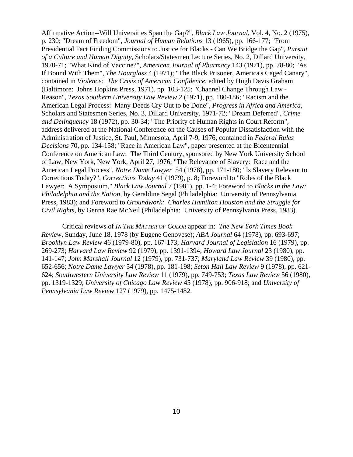Affirmative Action--Will Universities Span the Gap?", *Black Law Journal*, Vol. 4, No. 2 (1975), p. 230; "Dream of Freedom", *Journal of Human Relations* 13 (1965), pp. 166-177; "From Presidential Fact Finding Commissions to Justice for Blacks - Can We Bridge the Gap", *Pursuit of a Culture and Human Dignity*, Scholars/Statesmen Lecture Series, No. 2, Dillard University, 1970-71; "What Kind of Vaccine?", *American Journal of Pharmacy* 143 (1971), pp. 78-80; "As If Bound With Them", *The Hourglass* 4 (1971); "The Black Prisoner, America's Caged Canary", contained in *Violence: The Crisis of American Confidence*, edited by Hugh Davis Graham (Baltimore: Johns Hopkins Press, 1971), pp. 103-125; "Channel Change Through Law - Reason", *Texas Southern University Law Review* 2 (1971), pp. 180-186; "Racism and the American Legal Process: Many Deeds Cry Out to be Done", *Progress in Africa and America*, Scholars and Statesmen Series, No. 3, Dillard University, 1971-72; "Dream Deferred", *Crime and Delinquency* 18 (1972), pp. 30-34; "The Priority of Human Rights in Court Reform", address delivered at the National Conference on the Causes of Popular Dissatisfaction with the Administration of Justice, St. Paul, Minnesota, April 7-9, 1976, contained in *Federal Rules Decisions* 70, pp. 134-158; "Race in American Law", paper presented at the Bicentennial Conference on American Law: The Third Century, sponsored by New York University School of Law, New York, New York, April 27, 1976; "The Relevance of Slavery: Race and the American Legal Process", *Notre Dame Lawyer* 54 (1978), pp. 171-180; "Is Slavery Relevant to Corrections Today?", *Corrections Today* 41 (1979), p. 8; Foreword to "Roles of the Black Lawyer: A Symposium," *Black Law Journal* 7 (1981), pp. 1-4; Foreword to *Blacks in the Law: Philadelphia and the Nation*, by Geraldine Segal (Philadelphia: University of Pennsylvania Press, 1983); and Foreword to *Groundwork: Charles Hamilton Houston and the Struggle for Civil Rights*, by Genna Rae McNeil (Philadelphia: University of Pennsylvania Press, 1983).

Critical reviews of *IN THE MATTER OF COLOR* appear in: *The New York Times Book Review*, Sunday, June 18, 1978 (by Eugene Genovese); *ABA Journal* 64 (1978), pp. 693-697; *Brooklyn Law Review* 46 (1979-80), pp. 167-173; *Harvard Journal of Legislation* 16 (1979), pp. 269-273; *Harvard Law Review* 92 (1979), pp. 1391-1394; *Howard Law Journal* 23 (1980), pp. 141-147; *John Marshall Journal* 12 (1979), pp. 731-737; *Maryland Law Review* 39 (1980), pp. 652-656; *Notre Dame Lawyer* 54 (1978), pp. 181-198; *Seton Hall Law Review* 9 (1978), pp. 621- 624; *Southwestern University Law Review* 11 (1979), pp. 749-753; *Texas Law Review* 56 (1980), pp. 1319-1329; *University of Chicago Law Review* 45 (1978), pp. 906-918; and *University of Pennsylvania Law Review* 127 (1979), pp. 1475-1482.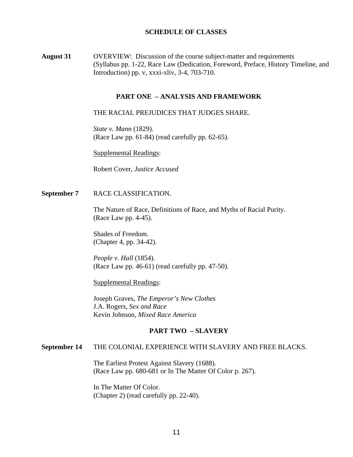## **SCHEDULE OF CLASSES**

**August 31** OVERVIEW: Discussion of the course subject-matter and requirements (Syllabus pp. 1-22, Race Law (Dedication, Foreword, Preface, History Timeline, and Introduction) pp. v, xxxi-xliv, 3-4, 703-710.

#### **PART ONE – ANALYSIS AND FRAMEWORK**

THE RACIAL PREJUDICES THAT JUDGES SHARE.

*State v. Mann* (1829). (Race Law pp. 61-84) (read carefully pp. 62-65).

Supplemental Readings:

Robert Cover, *Justice Accused*

**September 7** RACE CLASSIFICATION.

The Nature of Race, Definitions of Race, and Myths of Racial Purity. (Race Law pp. 4-45).

Shades of Freedom. (Chapter 4, pp. 34-42).

*People v. Hall* (1854). (Race Law pp. 46-61) (read carefully pp. 47-50).

Supplemental Readings:

Joseph Graves, *The Emperor's New Clothes* J.A. Rogers, *Sex and Race* Kevin Johnson, *Mixed Race America*

#### **PART TWO – SLAVERY**

#### **September 14** THE COLONIAL EXPERIENCE WITH SLAVERY AND FREE BLACKS.

The Earliest Protest Against Slavery (1688). (Race Law pp. 680-681 or In The Matter Of Color p. 267).

In The Matter Of Color. (Chapter 2) (read carefully pp. 22-40).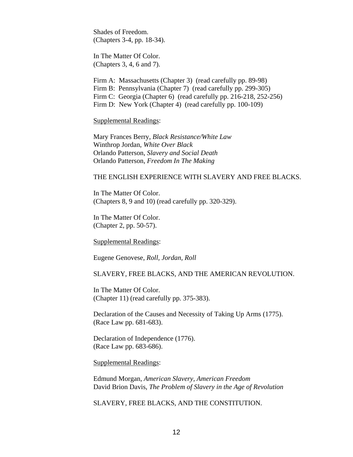Shades of Freedom. (Chapters 3-4, pp. 18-34).

In The Matter Of Color. (Chapters 3, 4, 6 and 7).

Firm A: Massachusetts (Chapter 3) (read carefully pp. 89-98) Firm B: Pennsylvania (Chapter 7) (read carefully pp. 299-305) Firm C: Georgia (Chapter 6) (read carefully pp. 216-218, 252-256) Firm D: New York (Chapter 4) (read carefully pp. 100-109)

Supplemental Readings:

Mary Frances Berry, *Black Resistance/White Law* Winthrop Jordan, *White Over Black* Orlando Patterson, *Slavery and Social Death* Orlando Patterson, *Freedom In The Making*

#### THE ENGLISH EXPERIENCE WITH SLAVERY AND FREE BLACKS.

In The Matter Of Color. (Chapters 8, 9 and 10) (read carefully pp. 320-329).

In The Matter Of Color. (Chapter 2, pp. 50-57).

Supplemental Readings:

Eugene Genovese, *Roll, Jordan, Roll*

#### SLAVERY, FREE BLACKS, AND THE AMERICAN REVOLUTION.

In The Matter Of Color. (Chapter 11) (read carefully pp. 375-383).

Declaration of the Causes and Necessity of Taking Up Arms (1775). (Race Law pp. 681-683).

Declaration of Independence (1776). (Race Law pp. 683-686).

Supplemental Readings:

Edmund Morgan, *American Slavery, American Freedom* David Brion Davis, *The Problem of Slavery in the Age of Revolution*

SLAVERY, FREE BLACKS, AND THE CONSTITUTION.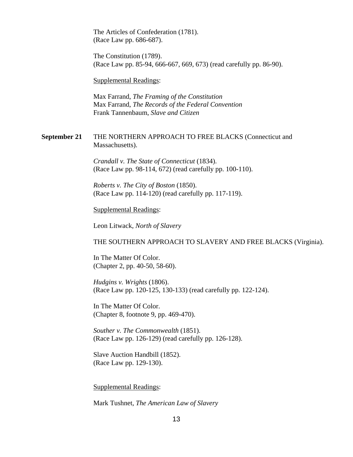The Articles of Confederation (1781). (Race Law pp. 686-687).

The Constitution (1789). (Race Law pp. 85-94, 666-667, 669, 673) (read carefully pp. 86-90).

Supplemental Readings:

Max Farrand, *The Framing of the Constitution* Max Farrand, *The Records of the Federal Convention* Frank Tannenbaum, *Slave and Citizen*

## **September 21** THE NORTHERN APPROACH TO FREE BLACKS (Connecticut and Massachusetts).

*Crandall v. The State of Connecticut* (1834). (Race Law pp. 98-114, 672) (read carefully pp. 100-110).

*Roberts v. The City of Boston* (1850). (Race Law pp. 114-120) (read carefully pp. 117-119).

Supplemental Readings:

Leon Litwack, *North of Slavery*

#### THE SOUTHERN APPROACH TO SLAVERY AND FREE BLACKS (Virginia).

In The Matter Of Color. (Chapter 2, pp. 40-50, 58-60).

*Hudgins v. Wrights* (1806). (Race Law pp. 120-125, 130-133) (read carefully pp. 122-124).

In The Matter Of Color. (Chapter 8, footnote 9, pp. 469-470).

*Souther v. The Commonwealth* (1851). (Race Law pp. 126-129) (read carefully pp. 126-128).

Slave Auction Handbill (1852). (Race Law pp. 129-130).

Supplemental Readings:

Mark Tushnet, *The American Law of Slavery*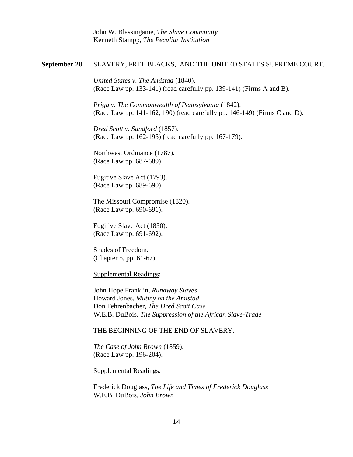John W. Blassingame, *The Slave Community* Kenneth Stampp, *The Peculiar Institution*

#### **September 28** SLAVERY, FREE BLACKS, AND THE UNITED STATES SUPREME COURT.

*United States v. The Amistad* (1840). (Race Law pp. 133-141) (read carefully pp. 139-141) (Firms A and B).

*Prigg v. The Commonwealth of Pennsylvania* (1842). (Race Law pp. 141-162, 190) (read carefully pp. 146-149) (Firms C and D).

*Dred Scott v. Sandford* (1857). (Race Law pp. 162-195) (read carefully pp. 167-179).

Northwest Ordinance (1787). (Race Law pp. 687-689).

Fugitive Slave Act (1793). (Race Law pp. 689-690).

The Missouri Compromise (1820). (Race Law pp. 690-691).

Fugitive Slave Act (1850). (Race Law pp. 691-692).

Shades of Freedom. (Chapter 5, pp. 61-67).

Supplemental Readings:

John Hope Franklin, *Runaway Slaves* Howard Jones, *Mutiny on the Amistad* Don Fehrenbacher, *The Dred Scott Case* W.E.B. DuBois, *The Suppression of the African Slave-Trade*

#### THE BEGINNING OF THE END OF SLAVERY.

*The Case of John Brown* (1859). (Race Law pp. 196-204).

Supplemental Readings:

Frederick Douglass, *The Life and Times of Frederick Douglass* W.E.B. DuBois, *John Brown*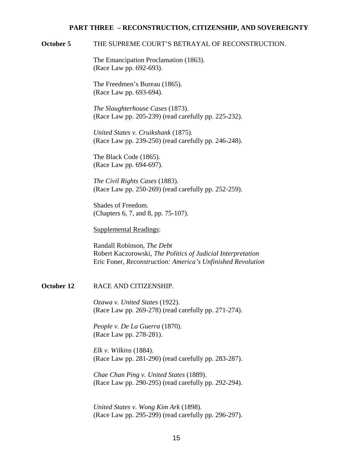#### **PART THREE – RECONSTRUCTION, CITIZENSHIP, AND SOVEREIGNTY**

#### **October 5** THE SUPREME COURT'S BETRAYAL OF RECONSTRUCTION.

The Emancipation Proclamation (1863). (Race Law pp. 692-693).

The Freedmen's Bureau (1865). (Race Law pp. 693-694).

*The Slaughterhouse Cases* (1873). (Race Law pp. 205-239) (read carefully pp. 225-232).

*United States v. Cruikshank* (1875). (Race Law pp. 239-250) (read carefully pp. 246-248).

The Black Code (1865). (Race Law pp. 694-697).

*The Civil Rights Cases* (1883). (Race Law pp. 250-269) (read carefully pp. 252-259).

Shades of Freedom. (Chapters 6, 7, and 8, pp. 75-107).

Supplemental Readings:

Randall Robinson, *The Debt* Robert Kaczorowski, *The Politics of Judicial Interpretation* Eric Foner, *Reconstruction: America's Unfinished Revolution*

# **October 12** RACE AND CITIZENSHIP.

*Ozawa v. United States* (1922). (Race Law pp. 269-278) (read carefully pp. 271-274).

*People v. De La Guerra* (1870). (Race Law pp. 278-281).

*Elk v. Wilkins* (1884). (Race Law pp. 281-290) (read carefully pp. 283-287).

*Chae Chan Ping v. United States* (1889). (Race Law pp. 290-295) (read carefully pp. 292-294).

*United States v. Wong Kim Ark* (1898). (Race Law pp. 295-299) (read carefully pp. 296-297).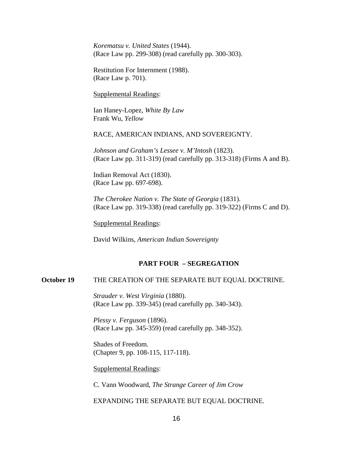*Korematsu v. United States* (1944). (Race Law pp. 299-308) (read carefully pp. 300-303).

Restitution For Internment (1988). (Race Law p. 701).

Supplemental Readings:

Ian Haney-Lopez, *White By Law* Frank Wu, *Yellow*

RACE, AMERICAN INDIANS, AND SOVEREIGNTY.

*Johnson and Graham's Lessee v. M'Intosh* (1823). (Race Law pp. 311-319) (read carefully pp. 313-318) (Firms A and B).

Indian Removal Act (1830). (Race Law pp. 697-698).

*The Cherokee Nation v. The State of Georgia* (1831). (Race Law pp. 319-338) (read carefully pp. 319-322) (Firms C and D).

Supplemental Readings:

David Wilkins, *American Indian Sovereignty*

#### **PART FOUR – SEGREGATION**

# **October 19** THE CREATION OF THE SEPARATE BUT EQUAL DOCTRINE.

*Strauder v. West Virginia* (1880). (Race Law pp. 339-345) (read carefully pp. 340-343).

*Plessy v. Ferguson* (1896). (Race Law pp. 345-359) (read carefully pp. 348-352).

Shades of Freedom. (Chapter 9, pp. 108-115, 117-118).

Supplemental Readings:

C. Vann Woodward, *The Strange Career of Jim Crow*

#### EXPANDING THE SEPARATE BUT EQUAL DOCTRINE.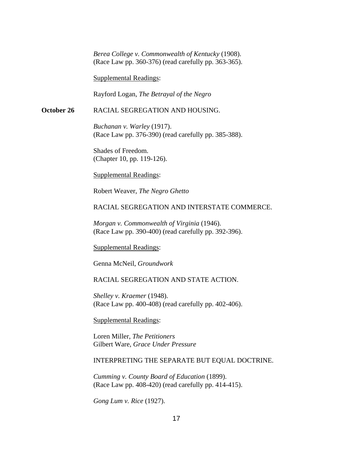*Berea College v. Commonwealth of Kentucky* (1908). (Race Law pp. 360-376) (read carefully pp. 363-365).

Supplemental Readings:

Rayford Logan, *The Betrayal of the Negro*

#### **October 26** RACIAL SEGREGATION AND HOUSING.

*Buchanan v. Warley* (1917). (Race Law pp. 376-390) (read carefully pp. 385-388).

Shades of Freedom. (Chapter 10, pp. 119-126).

Supplemental Readings:

Robert Weaver, *The Negro Ghetto*

## RACIAL SEGREGATION AND INTERSTATE COMMERCE.

*Morgan v. Commonwealth of Virginia* (1946). (Race Law pp. 390-400) (read carefully pp. 392-396).

Supplemental Readings:

Genna McNeil, *Groundwork*

# RACIAL SEGREGATION AND STATE ACTION.

*Shelley v. Kraemer* (1948). (Race Law pp. 400-408) (read carefully pp. 402-406).

Supplemental Readings:

Loren Miller, *The Petitioners* Gilbert Ware, *Grace Under Pressure*

## INTERPRETING THE SEPARATE BUT EQUAL DOCTRINE.

*Cumming v. County Board of Education* (1899). (Race Law pp. 408-420) (read carefully pp. 414-415).

*Gong Lum v. Rice* (1927).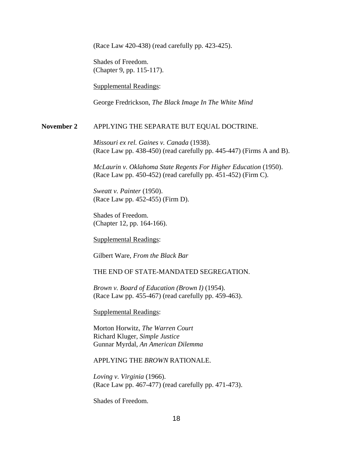(Race Law 420-438) (read carefully pp. 423-425).

Shades of Freedom. (Chapter 9, pp. 115-117).

Supplemental Readings:

George Fredrickson, *The Black Image In The White Mind*

#### **November 2** APPLYING THE SEPARATE BUT EQUAL DOCTRINE.

*Missouri ex rel. Gaines v. Canada* (1938). (Race Law pp. 438-450) (read carefully pp. 445-447) (Firms A and B).

*McLaurin v. Oklahoma State Regents For Higher Education* (1950). (Race Law pp. 450-452) (read carefully pp. 451-452) (Firm C).

*Sweatt v. Painter* (1950). (Race Law pp. 452-455) (Firm D).

Shades of Freedom. (Chapter 12, pp. 164-166).

Supplemental Readings:

Gilbert Ware, *From the Black Bar*

THE END OF STATE-MANDATED SEGREGATION.

*Brown v. Board of Education (Brown I)* (1954). (Race Law pp. 455-467) (read carefully pp. 459-463).

Supplemental Readings:

Morton Horwitz, *The Warren Court* Richard Kluger, *Simple Justice* Gunnar Myrdal, *An American Dilemma*

#### APPLYING THE *BROWN* RATIONALE.

*Loving v. Virginia* (1966). (Race Law pp. 467-477) (read carefully pp. 471-473).

Shades of Freedom.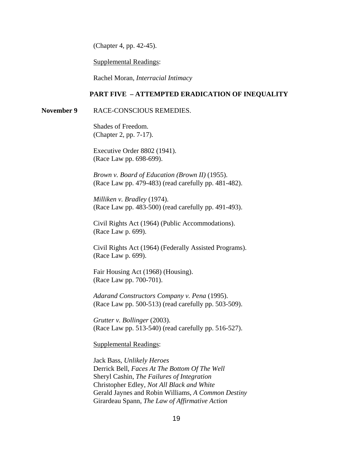(Chapter 4, pp. 42-45).

Supplemental Readings:

Rachel Moran, *Interracial Intimacy*

#### **PART FIVE – ATTEMPTED ERADICATION OF INEQUALITY**

#### **November 9 RACE-CONSCIOUS REMEDIES.**

Shades of Freedom. (Chapter 2, pp. 7-17).

Executive Order 8802 (1941). (Race Law pp. 698-699).

*Brown v. Board of Education (Brown II)* (1955). (Race Law pp. 479-483) (read carefully pp. 481-482).

*Milliken v. Bradley* (1974). (Race Law pp. 483-500) (read carefully pp. 491-493).

Civil Rights Act (1964) (Public Accommodations). (Race Law p. 699).

Civil Rights Act (1964) (Federally Assisted Programs). (Race Law p. 699).

Fair Housing Act (1968) (Housing). (Race Law pp. 700-701).

*Adarand Constructors Company v. Pena* (1995). (Race Law pp. 500-513) (read carefully pp. 503-509).

*Grutter v. Bollinger* (2003). (Race Law pp. 513-540) (read carefully pp. 516-527).

Supplemental Readings:

Jack Bass, *Unlikely Heroes* Derrick Bell, *Faces At The Bottom Of The Well* Sheryl Cashin, *The Failures of Integration* Christopher Edley, *Not All Black and White* Gerald Jaynes and Robin Williams, *A Common Destiny* Girardeau Spann, *The Law of Affirmative Action*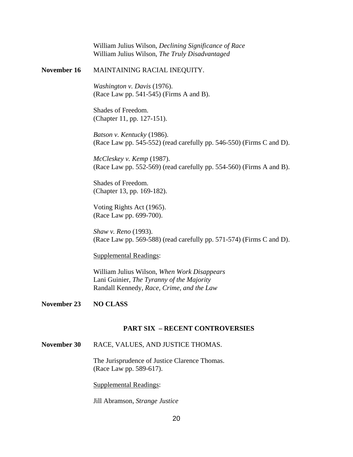William Julius Wilson, *Declining Significance of Race* William Julius Wilson, *The Truly Disadvantaged* **November 16** MAINTAINING RACIAL INEQUITY. *Washington v. Davis* (1976). (Race Law pp. 541-545) (Firms A and B). Shades of Freedom. (Chapter 11, pp. 127-151). *Batson v. Kentucky* (1986). (Race Law pp. 545-552) (read carefully pp. 546-550) (Firms C and D). *McCleskey v. Kemp* (1987). (Race Law pp. 552-569) (read carefully pp. 554-560) (Firms A and B). Shades of Freedom. (Chapter 13, pp. 169-182). Voting Rights Act (1965). (Race Law pp. 699-700). *Shaw v. Reno* (1993). (Race Law pp. 569-588) (read carefully pp. 571-574) (Firms C and D). Supplemental Readings: William Julius Wilson, *When Work Disappears*

Lani Guinier, *The Tyranny of the Majority* Randall Kennedy, *Race, Crime, and the Law*

#### **November 23 NO CLASS**

#### **PART SIX – RECENT CONTROVERSIES**

# **November 30** RACE, VALUES, AND JUSTICE THOMAS.

The Jurisprudence of Justice Clarence Thomas. (Race Law pp. 589-617).

Supplemental Readings:

Jill Abramson, *Strange Justice*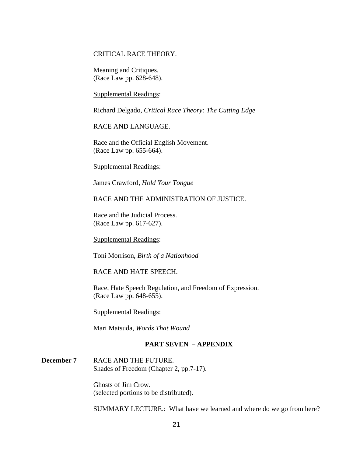# CRITICAL RACE THEORY.

Meaning and Critiques. (Race Law pp. 628-648).

Supplemental Readings:

Richard Delgado, *Critical Race Theory: The Cutting Edge*

RACE AND LANGUAGE.

Race and the Official English Movement. (Race Law pp. 655-664).

Supplemental Readings:

James Crawford, *Hold Your Tongue*

#### RACE AND THE ADMINISTRATION OF JUSTICE.

Race and the Judicial Process. (Race Law pp. 617-627).

Supplemental Readings:

Toni Morrison, *Birth of a Nationhood*

RACE AND HATE SPEECH.

Race, Hate Speech Regulation, and Freedom of Expression. (Race Law pp. 648-655).

Supplemental Readings:

Mari Matsuda, *Words That Wound*

### **PART SEVEN – APPENDIX**

**December 7** RACE AND THE FUTURE. Shades of Freedom (Chapter 2, pp.7-17).

> Ghosts of Jim Crow. (selected portions to be distributed).

SUMMARY LECTURE.: What have we learned and where do we go from here?